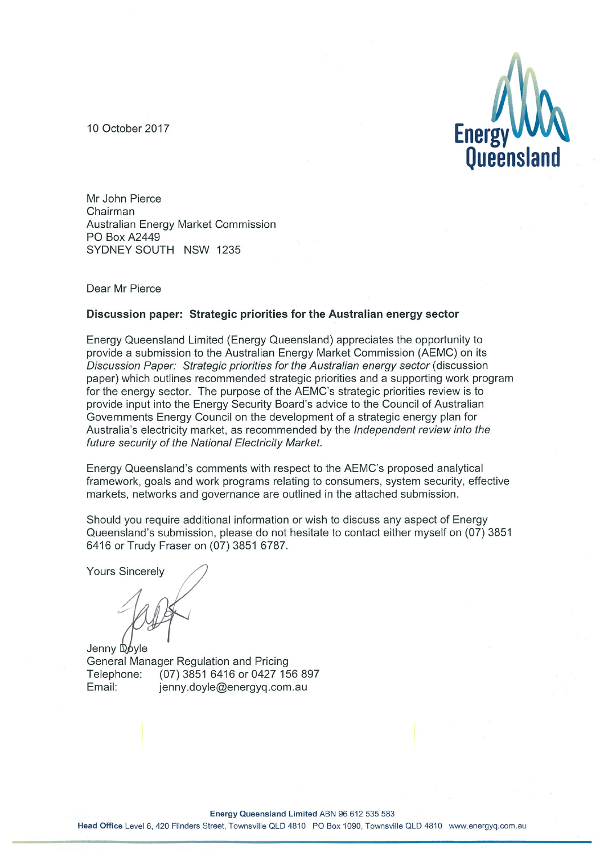10 October 2017



Mr John Pierce Chairman Australian Energy Market Commission **PO Box A2449** SYDNEY SOUTH NSW 1235

Dear Mr Pierce

#### Discussion paper: Strategic priorities for the Australian energy sector

Energy Queensland Limited (Energy Queensland) appreciates the opportunity to provide a submission to the Australian Energy Market Commission (AEMC) on its Discussion Paper: Strategic priorities for the Australian energy sector (discussion paper) which outlines recommended strategic priorities and a supporting work program for the energy sector. The purpose of the AEMC's strategic priorities review is to provide input into the Energy Security Board's advice to the Council of Australian Governments Energy Council on the development of a strategic energy plan for Australia's electricity market, as recommended by the *Independent review into the* future security of the National Electricity Market.

Energy Queensland's comments with respect to the AEMC's proposed analytical framework, goals and work programs relating to consumers, system security, effective markets, networks and governance are outlined in the attached submission.

Should you require additional information or wish to discuss any aspect of Energy Queensland's submission, please do not hesitate to contact either myself on (07) 3851 6416 or Trudy Fraser on (07) 3851 6787.

**Yours Sincerely** 

Jenny Dovle General Manager Regulation and Pricing (07) 3851 6416 or 0427 156 897 Telephone: Email: jenny.doyle@energyq.com.au

Energy Queensland Limited ABN 96 612 535 583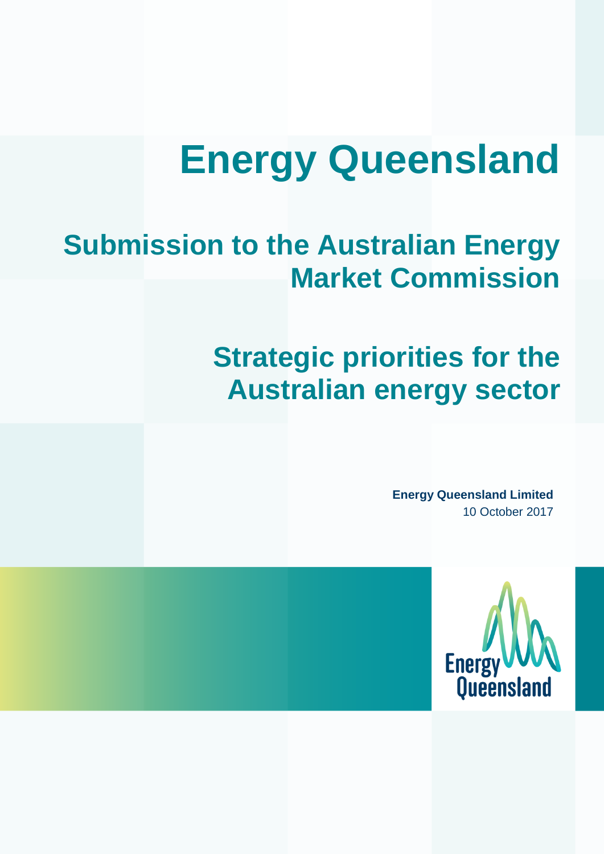# **Energy Queensland**

# **Submission to the Australian Energy Market Commission**

# **Strategic priorities for the Australian energy sector**

**Energy Queensland Limited** 10 October 2017

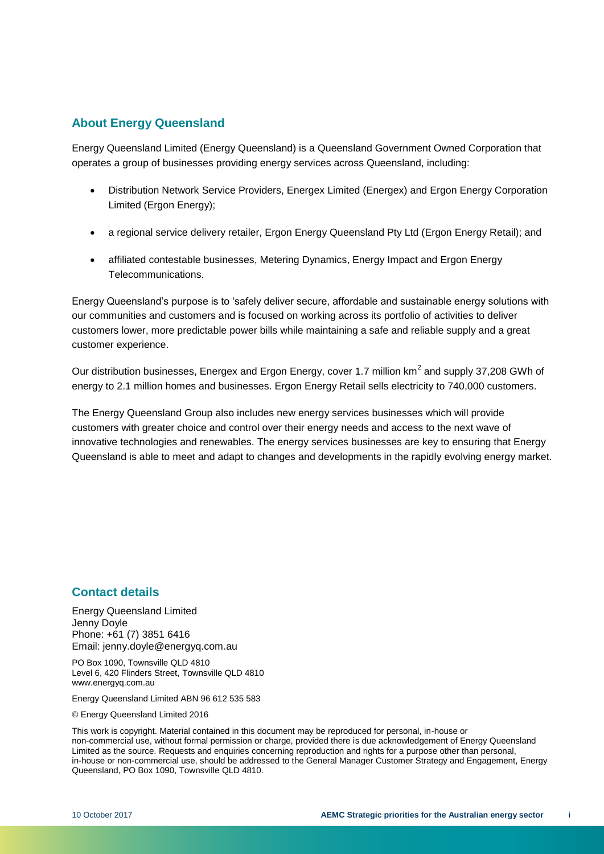### **About Energy Queensland**

Energy Queensland Limited (Energy Queensland) is a Queensland Government Owned Corporation that operates a group of businesses providing energy services across Queensland, including:

- Distribution Network Service Providers, Energex Limited (Energex) and Ergon Energy Corporation Limited (Ergon Energy);
- a regional service delivery retailer, Ergon Energy Queensland Pty Ltd (Ergon Energy Retail); and
- affiliated contestable businesses, Metering Dynamics, Energy Impact and Ergon Energy Telecommunications.

Energy Queensland's purpose is to 'safely deliver secure, affordable and sustainable energy solutions with our communities and customers and is focused on working across its portfolio of activities to deliver customers lower, more predictable power bills while maintaining a safe and reliable supply and a great customer experience.

Our distribution businesses, Energex and Ergon Energy, cover 1.7 million  $km^2$  and supply 37,208 GWh of energy to 2.1 million homes and businesses. Ergon Energy Retail sells electricity to 740,000 customers.

The Energy Queensland Group also includes new energy services businesses which will provide customers with greater choice and control over their energy needs and access to the next wave of innovative technologies and renewables. The energy services businesses are key to ensuring that Energy Queensland is able to meet and adapt to changes and developments in the rapidly evolving energy market.

### **Contact details**

Energy Queensland Limited Jenny Doyle Phone: +61 (7) 3851 6416 Email: jenny.doyle@energyq.com.au

PO Box 1090, Townsville QLD 4810 Level 6, 420 Flinders Street, Townsville QLD 4810 www.energyq.com.au

Energy Queensland Limited ABN 96 612 535 583

© Energy Queensland Limited 2016

This work is copyright. Material contained in this document may be reproduced for personal, in-house or non-commercial use, without formal permission or charge, provided there is due acknowledgement of Energy Queensland Limited as the source. Requests and enquiries concerning reproduction and rights for a purpose other than personal, in-house or non-commercial use, should be addressed to the General Manager Customer Strategy and Engagement, Energy Queensland, PO Box 1090, Townsville QLD 4810.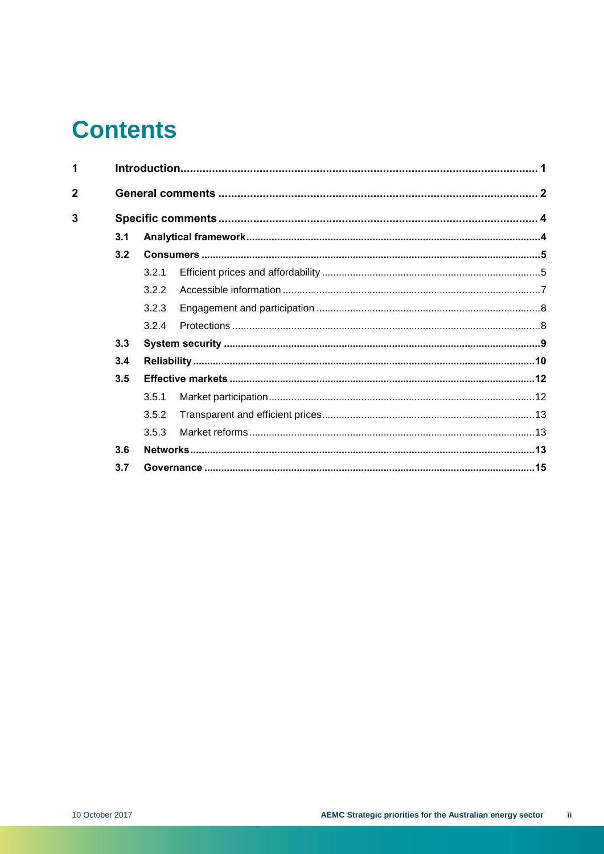# **Contents**

| 1              |     | $\overline{2}$ |  |  |
|----------------|-----|----------------|--|--|
| $\overline{2}$ |     |                |  |  |
| 3              |     |                |  |  |
|                | 3.1 |                |  |  |
|                | 3.2 |                |  |  |
|                |     | 3.2.1          |  |  |
|                |     | 3.2.2          |  |  |
|                |     | 3.2.3          |  |  |
|                |     | 3.2.4          |  |  |
|                | 3.3 |                |  |  |
|                | 3.4 |                |  |  |
|                | 3.5 |                |  |  |
|                |     | 3.5.1          |  |  |
|                |     | 3.5.2          |  |  |
|                |     | 3.5.3          |  |  |
|                | 3.6 |                |  |  |
|                | 3.7 |                |  |  |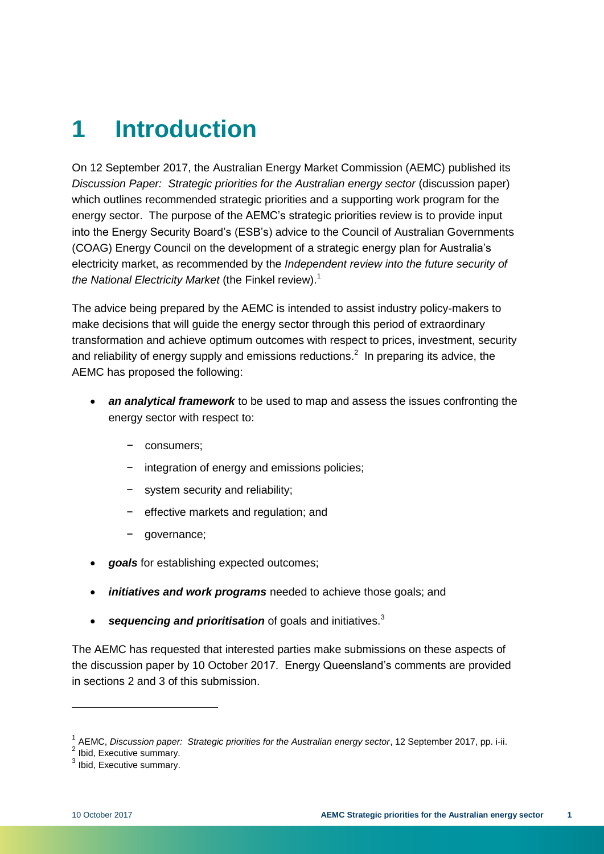# <span id="page-4-0"></span>**1 Introduction**

On 12 September 2017, the Australian Energy Market Commission (AEMC) published its *Discussion Paper: Strategic priorities for the Australian energy sector* (discussion paper) which outlines recommended strategic priorities and a supporting work program for the energy sector. The purpose of the AEMC's strategic priorities review is to provide input into the Energy Security Board's (ESB's) advice to the Council of Australian Governments (COAG) Energy Council on the development of a strategic energy plan for Australia's electricity market, as recommended by the *Independent review into the future security of the National Electricity Market* (the Finkel review). 1

The advice being prepared by the AEMC is intended to assist industry policy-makers to make decisions that will guide the energy sector through this period of extraordinary transformation and achieve optimum outcomes with respect to prices, investment, security and reliability of energy supply and emissions reductions.<sup>2</sup> In preparing its advice, the AEMC has proposed the following:

- *an analytical framework* to be used to map and assess the issues confronting the energy sector with respect to:
	- − consumers;
	- integration of energy and emissions policies;
	- system security and reliability:
	- − effective markets and regulation; and
	- − governance;
- *goals* for establishing expected outcomes;
- *initiatives and work programs* needed to achieve those goals; and
- **•** sequencing and prioritisation of goals and initiatives.<sup>3</sup>

The AEMC has requested that interested parties make submissions on these aspects of the discussion paper by 10 October 2017. Energy Queensland's comments are provided in sections 2 and 3 of this submission.

<sup>&</sup>lt;sup>1</sup> AEMC, *Discussion paper: Strategic priorities for the Australian energy sector*, 12 September 2017, pp. i-ii.<br><sup>2</sup> Ibid, Executive summary.

 $3$  Ibid, Executive summary.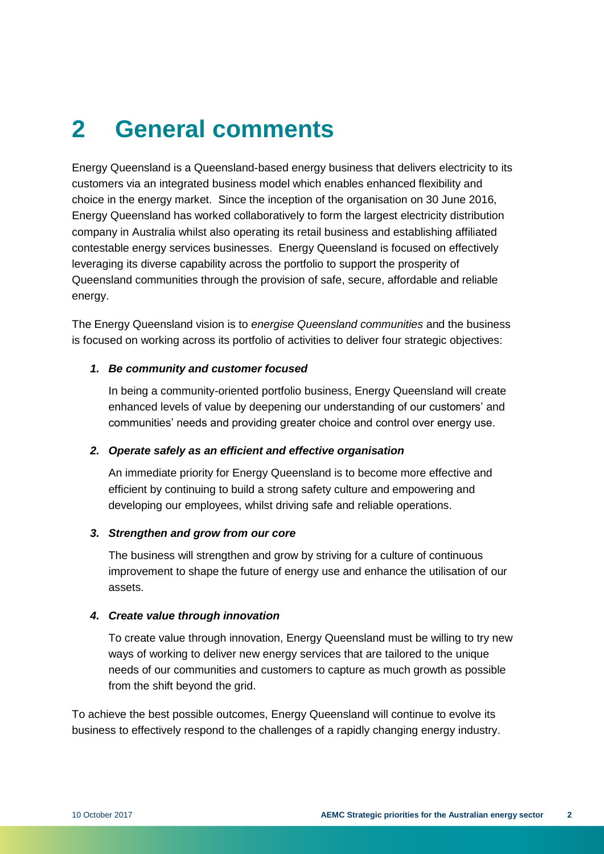# <span id="page-5-0"></span>**2 General comments**

Energy Queensland is a Queensland-based energy business that delivers electricity to its customers via an integrated business model which enables enhanced flexibility and choice in the energy market. Since the inception of the organisation on 30 June 2016, Energy Queensland has worked collaboratively to form the largest electricity distribution company in Australia whilst also operating its retail business and establishing affiliated contestable energy services businesses. Energy Queensland is focused on effectively leveraging its diverse capability across the portfolio to support the prosperity of Queensland communities through the provision of safe, secure, affordable and reliable energy.

The Energy Queensland vision is to *energise Queensland communities* and the business is focused on working across its portfolio of activities to deliver four strategic objectives:

#### *1. Be community and customer focused*

In being a community-oriented portfolio business, Energy Queensland will create enhanced levels of value by deepening our understanding of our customers' and communities' needs and providing greater choice and control over energy use.

#### *2. Operate safely as an efficient and effective organisation*

An immediate priority for Energy Queensland is to become more effective and efficient by continuing to build a strong safety culture and empowering and developing our employees, whilst driving safe and reliable operations.

#### *3. Strengthen and grow from our core*

The business will strengthen and grow by striving for a culture of continuous improvement to shape the future of energy use and enhance the utilisation of our assets.

#### *4. Create value through innovation*

To create value through innovation, Energy Queensland must be willing to try new ways of working to deliver new energy services that are tailored to the unique needs of our communities and customers to capture as much growth as possible from the shift beyond the grid.

To achieve the best possible outcomes, Energy Queensland will continue to evolve its business to effectively respond to the challenges of a rapidly changing energy industry.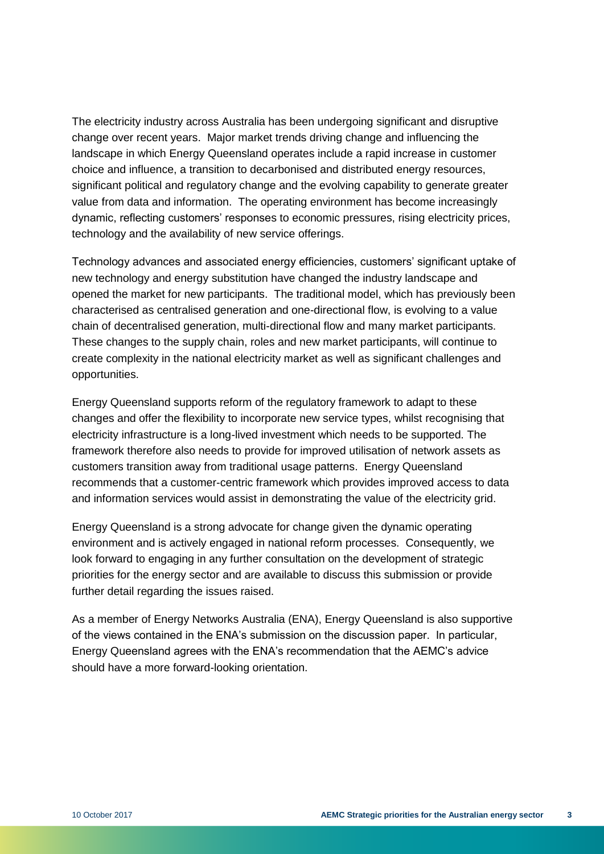The electricity industry across Australia has been undergoing significant and disruptive change over recent years. Major market trends driving change and influencing the landscape in which Energy Queensland operates include a rapid increase in customer choice and influence, a transition to decarbonised and distributed energy resources, significant political and regulatory change and the evolving capability to generate greater value from data and information. The operating environment has become increasingly dynamic, reflecting customers' responses to economic pressures, rising electricity prices, technology and the availability of new service offerings.

Technology advances and associated energy efficiencies, customers' significant uptake of new technology and energy substitution have changed the industry landscape and opened the market for new participants. The traditional model, which has previously been characterised as centralised generation and one-directional flow, is evolving to a value chain of decentralised generation, multi-directional flow and many market participants. These changes to the supply chain, roles and new market participants, will continue to create complexity in the national electricity market as well as significant challenges and opportunities.

Energy Queensland supports reform of the regulatory framework to adapt to these changes and offer the flexibility to incorporate new service types, whilst recognising that electricity infrastructure is a long-lived investment which needs to be supported. The framework therefore also needs to provide for improved utilisation of network assets as customers transition away from traditional usage patterns. Energy Queensland recommends that a customer-centric framework which provides improved access to data and information services would assist in demonstrating the value of the electricity grid.

Energy Queensland is a strong advocate for change given the dynamic operating environment and is actively engaged in national reform processes. Consequently, we look forward to engaging in any further consultation on the development of strategic priorities for the energy sector and are available to discuss this submission or provide further detail regarding the issues raised.

As a member of Energy Networks Australia (ENA), Energy Queensland is also supportive of the views contained in the ENA's submission on the discussion paper. In particular, Energy Queensland agrees with the ENA's recommendation that the AEMC's advice should have a more forward-looking orientation.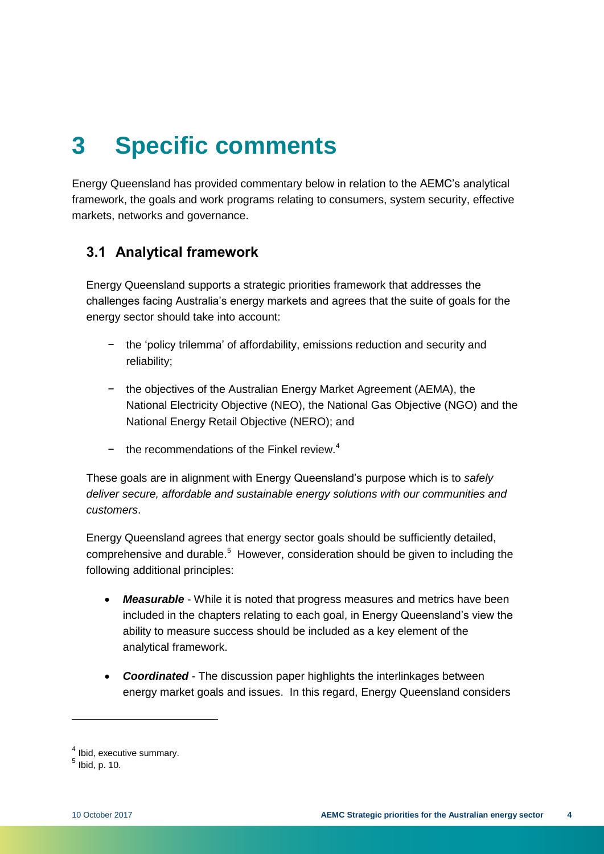# <span id="page-7-0"></span>**3 Specific comments**

Energy Queensland has provided commentary below in relation to the AEMC's analytical framework, the goals and work programs relating to consumers, system security, effective markets, networks and governance.

# <span id="page-7-1"></span>**3.1 Analytical framework**

Energy Queensland supports a strategic priorities framework that addresses the challenges facing Australia's energy markets and agrees that the suite of goals for the energy sector should take into account:

- the 'policy trilemma' of affordability, emissions reduction and security and reliability;
- − the objectives of the Australian Energy Market Agreement (AEMA), the National Electricity Objective (NEO), the National Gas Objective (NGO) and the National Energy Retail Objective (NERO); and
- − the recommendations of the Finkel review. 4

These goals are in alignment with Energy Queensland's purpose which is to *safely deliver secure, affordable and sustainable energy solutions with our communities and customers*.

Energy Queensland agrees that energy sector goals should be sufficiently detailed, comprehensive and durable.<sup>5</sup> However, consideration should be given to including the following additional principles:

- *Measurable* While it is noted that progress measures and metrics have been included in the chapters relating to each goal, in Energy Queensland's view the ability to measure success should be included as a key element of the analytical framework.
- *Coordinated* The discussion paper highlights the interlinkages between energy market goals and issues. In this regard, Energy Queensland considers

<sup>&</sup>lt;sup>4</sup> Ibid, executive summary.

 $<sup>5</sup>$  Ibid, p. 10.</sup>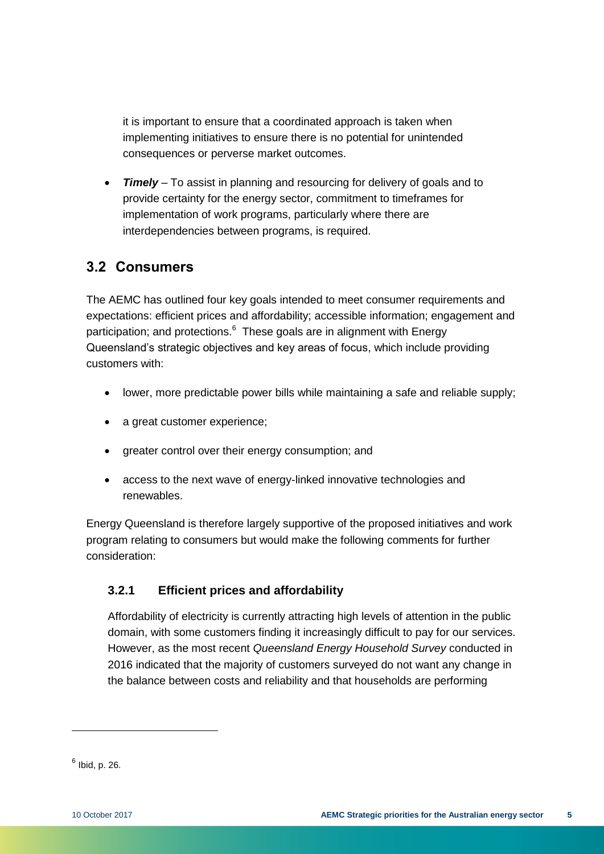it is important to ensure that a coordinated approach is taken when implementing initiatives to ensure there is no potential for unintended consequences or perverse market outcomes.

*Timely* – To assist in planning and resourcing for delivery of goals and to provide certainty for the energy sector, commitment to timeframes for implementation of work programs, particularly where there are interdependencies between programs, is required.

# <span id="page-8-0"></span>**3.2 Consumers**

The AEMC has outlined four key goals intended to meet consumer requirements and expectations: efficient prices and affordability; accessible information; engagement and participation; and protections.<sup>6</sup> These goals are in alignment with Energy Queensland's strategic objectives and key areas of focus, which include providing customers with:

- lower, more predictable power bills while maintaining a safe and reliable supply;
- a great customer experience:
- greater control over their energy consumption; and
- access to the next wave of energy-linked innovative technologies and renewables.

Energy Queensland is therefore largely supportive of the proposed initiatives and work program relating to consumers but would make the following comments for further consideration:

### <span id="page-8-1"></span>**3.2.1 Efficient prices and affordability**

Affordability of electricity is currently attracting high levels of attention in the public domain, with some customers finding it increasingly difficult to pay for our services. However, as the most recent *Queensland Energy Household Survey* conducted in 2016 indicated that the majority of customers surveyed do not want any change in the balance between costs and reliability and that households are performing

<sup>&</sup>lt;sup>6</sup> Ibid, p. 26.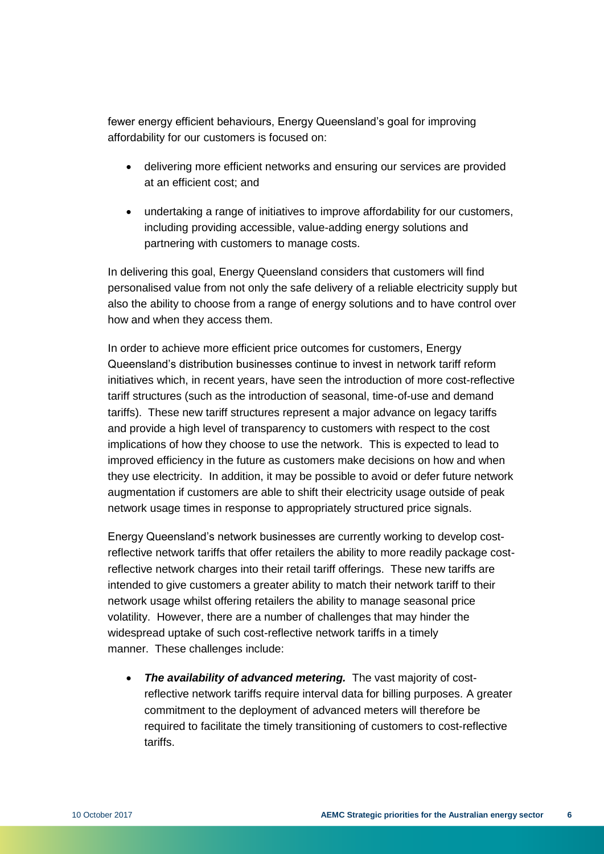fewer energy efficient behaviours, Energy Queensland's goal for improving affordability for our customers is focused on:

- delivering more efficient networks and ensuring our services are provided at an efficient cost; and
- undertaking a range of initiatives to improve affordability for our customers, including providing accessible, value-adding energy solutions and partnering with customers to manage costs.

In delivering this goal, Energy Queensland considers that customers will find personalised value from not only the safe delivery of a reliable electricity supply but also the ability to choose from a range of energy solutions and to have control over how and when they access them.

In order to achieve more efficient price outcomes for customers, Energy Queensland's distribution businesses continue to invest in network tariff reform initiatives which, in recent years, have seen the introduction of more cost-reflective tariff structures (such as the introduction of seasonal, time-of-use and demand tariffs). These new tariff structures represent a major advance on legacy tariffs and provide a high level of transparency to customers with respect to the cost implications of how they choose to use the network. This is expected to lead to improved efficiency in the future as customers make decisions on how and when they use electricity. In addition, it may be possible to avoid or defer future network augmentation if customers are able to shift their electricity usage outside of peak network usage times in response to appropriately structured price signals.

Energy Queensland's network businesses are currently working to develop costreflective network tariffs that offer retailers the ability to more readily package costreflective network charges into their retail tariff offerings. These new tariffs are intended to give customers a greater ability to match their network tariff to their network usage whilst offering retailers the ability to manage seasonal price volatility. However, there are a number of challenges that may hinder the widespread uptake of such cost-reflective network tariffs in a timely manner. These challenges include:

 *The availability of advanced metering.* The vast majority of costreflective network tariffs require interval data for billing purposes. A greater commitment to the deployment of advanced meters will therefore be required to facilitate the timely transitioning of customers to cost-reflective tariffs.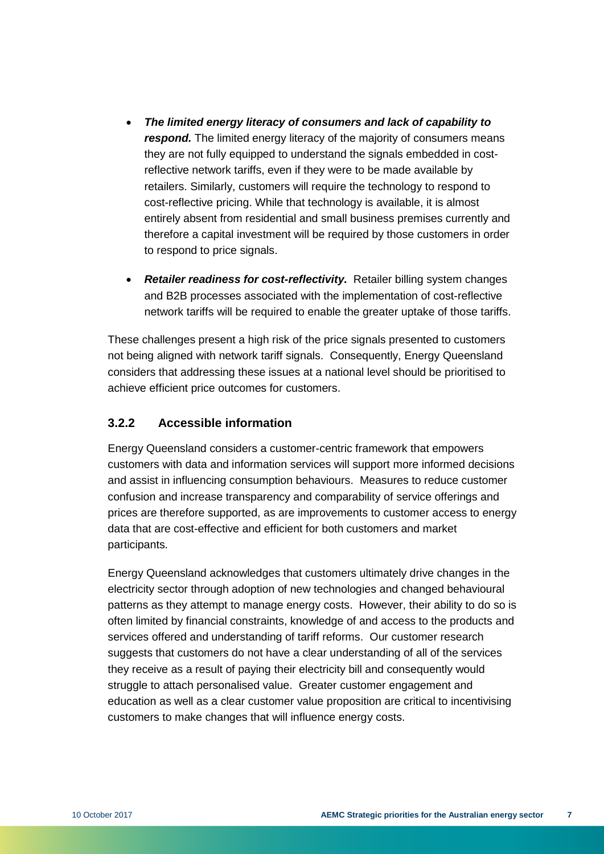- *The limited energy literacy of consumers and lack of capability to*  respond. The limited energy literacy of the majority of consumers means they are not fully equipped to understand the signals embedded in costreflective network tariffs, even if they were to be made available by retailers. Similarly, customers will require the technology to respond to cost-reflective pricing. While that technology is available, it is almost entirely absent from residential and small business premises currently and therefore a capital investment will be required by those customers in order to respond to price signals.
- *Retailer readiness for cost-reflectivity.* Retailer billing system changes and B2B processes associated with the implementation of cost-reflective network tariffs will be required to enable the greater uptake of those tariffs.

These challenges present a high risk of the price signals presented to customers not being aligned with network tariff signals. Consequently, Energy Queensland considers that addressing these issues at a national level should be prioritised to achieve efficient price outcomes for customers.

#### <span id="page-10-0"></span>**3.2.2 Accessible information**

Energy Queensland considers a customer-centric framework that empowers customers with data and information services will support more informed decisions and assist in influencing consumption behaviours. Measures to reduce customer confusion and increase transparency and comparability of service offerings and prices are therefore supported, as are improvements to customer access to energy data that are cost-effective and efficient for both customers and market participants.

Energy Queensland acknowledges that customers ultimately drive changes in the electricity sector through adoption of new technologies and changed behavioural patterns as they attempt to manage energy costs. However, their ability to do so is often limited by financial constraints, knowledge of and access to the products and services offered and understanding of tariff reforms. Our customer research suggests that customers do not have a clear understanding of all of the services they receive as a result of paying their electricity bill and consequently would struggle to attach personalised value. Greater customer engagement and education as well as a clear customer value proposition are critical to incentivising customers to make changes that will influence energy costs.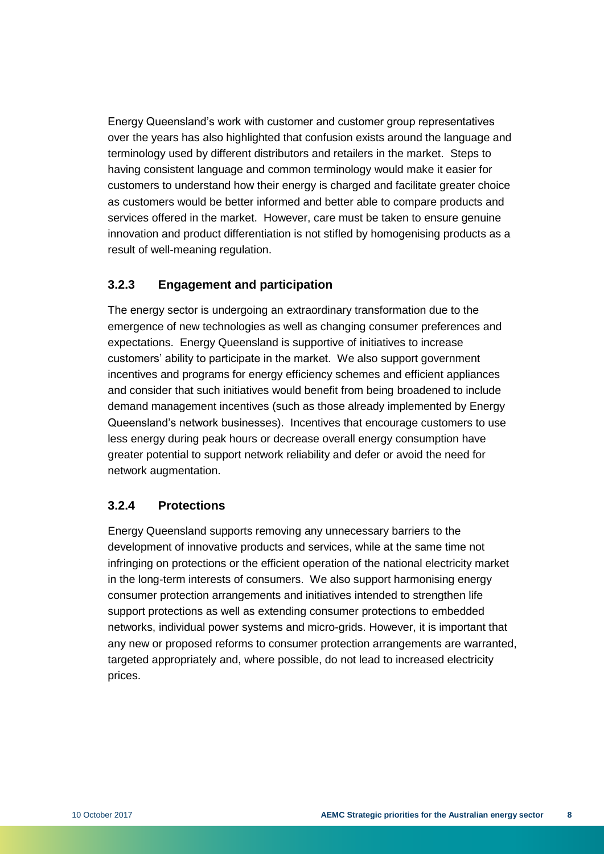Energy Queensland's work with customer and customer group representatives over the years has also highlighted that confusion exists around the language and terminology used by different distributors and retailers in the market. Steps to having consistent language and common terminology would make it easier for customers to understand how their energy is charged and facilitate greater choice as customers would be better informed and better able to compare products and services offered in the market. However, care must be taken to ensure genuine innovation and product differentiation is not stifled by homogenising products as a result of well-meaning regulation.

### <span id="page-11-0"></span>**3.2.3 Engagement and participation**

The energy sector is undergoing an extraordinary transformation due to the emergence of new technologies as well as changing consumer preferences and expectations. Energy Queensland is supportive of initiatives to increase customers' ability to participate in the market. We also support government incentives and programs for energy efficiency schemes and efficient appliances and consider that such initiatives would benefit from being broadened to include demand management incentives (such as those already implemented by Energy Queensland's network businesses). Incentives that encourage customers to use less energy during peak hours or decrease overall energy consumption have greater potential to support network reliability and defer or avoid the need for network augmentation.

### <span id="page-11-1"></span>**3.2.4 Protections**

Energy Queensland supports removing any unnecessary barriers to the development of innovative products and services, while at the same time not infringing on protections or the efficient operation of the national electricity market in the long-term interests of consumers. We also support harmonising energy consumer protection arrangements and initiatives intended to strengthen life support protections as well as extending consumer protections to embedded networks, individual power systems and micro-grids. However, it is important that any new or proposed reforms to consumer protection arrangements are warranted, targeted appropriately and, where possible, do not lead to increased electricity prices.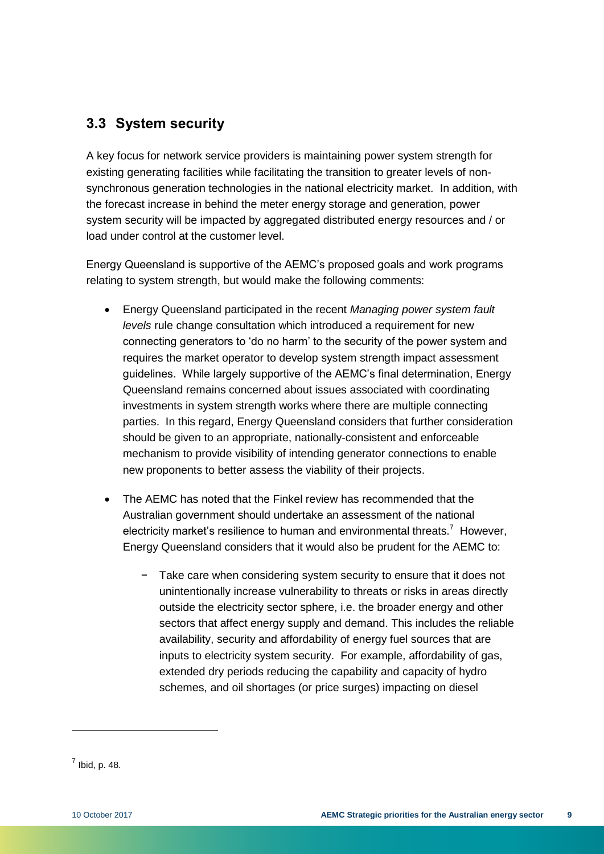# <span id="page-12-0"></span>**3.3 System security**

A key focus for network service providers is maintaining power system strength for existing generating facilities while facilitating the transition to greater levels of nonsynchronous generation technologies in the national electricity market. In addition, with the forecast increase in behind the meter energy storage and generation, power system security will be impacted by aggregated distributed energy resources and / or load under control at the customer level.

Energy Queensland is supportive of the AEMC's proposed goals and work programs relating to system strength, but would make the following comments:

- Energy Queensland participated in the recent *Managing power system fault levels* rule change consultation which introduced a requirement for new connecting generators to 'do no harm' to the security of the power system and requires the market operator to develop system strength impact assessment guidelines. While largely supportive of the AEMC's final determination, Energy Queensland remains concerned about issues associated with coordinating investments in system strength works where there are multiple connecting parties. In this regard, Energy Queensland considers that further consideration should be given to an appropriate, nationally-consistent and enforceable mechanism to provide visibility of intending generator connections to enable new proponents to better assess the viability of their projects.
- The AEMC has noted that the Finkel review has recommended that the Australian government should undertake an assessment of the national electricity market's resilience to human and environmental threats.<sup>7</sup> However, Energy Queensland considers that it would also be prudent for the AEMC to:
	- Take care when considering system security to ensure that it does not unintentionally increase vulnerability to threats or risks in areas directly outside the electricity sector sphere, i.e. the broader energy and other sectors that affect energy supply and demand. This includes the reliable availability, security and affordability of energy fuel sources that are inputs to electricity system security. For example, affordability of gas, extended dry periods reducing the capability and capacity of hydro schemes, and oil shortages (or price surges) impacting on diesel

 $<sup>7</sup>$  Ibid, p. 48.</sup>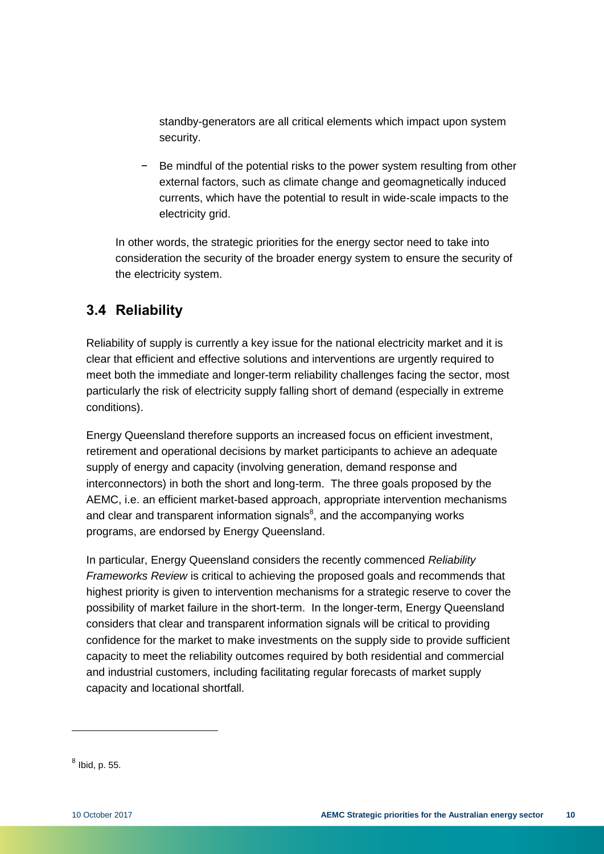standby-generators are all critical elements which impact upon system security.

− Be mindful of the potential risks to the power system resulting from other external factors, such as climate change and geomagnetically induced currents, which have the potential to result in wide-scale impacts to the electricity grid.

In other words, the strategic priorities for the energy sector need to take into consideration the security of the broader energy system to ensure the security of the electricity system.

# <span id="page-13-0"></span>**3.4 Reliability**

Reliability of supply is currently a key issue for the national electricity market and it is clear that efficient and effective solutions and interventions are urgently required to meet both the immediate and longer-term reliability challenges facing the sector, most particularly the risk of electricity supply falling short of demand (especially in extreme conditions).

Energy Queensland therefore supports an increased focus on efficient investment, retirement and operational decisions by market participants to achieve an adequate supply of energy and capacity (involving generation, demand response and interconnectors) in both the short and long-term. The three goals proposed by the AEMC, i.e. an efficient market-based approach, appropriate intervention mechanisms and clear and transparent information signals $8$ , and the accompanying works programs, are endorsed by Energy Queensland.

In particular, Energy Queensland considers the recently commenced *Reliability Frameworks Review* is critical to achieving the proposed goals and recommends that highest priority is given to intervention mechanisms for a strategic reserve to cover the possibility of market failure in the short-term. In the longer-term, Energy Queensland considers that clear and transparent information signals will be critical to providing confidence for the market to make investments on the supply side to provide sufficient capacity to meet the reliability outcomes required by both residential and commercial and industrial customers, including facilitating regular forecasts of market supply capacity and locational shortfall.

 $^8$  Ibid, p. 55.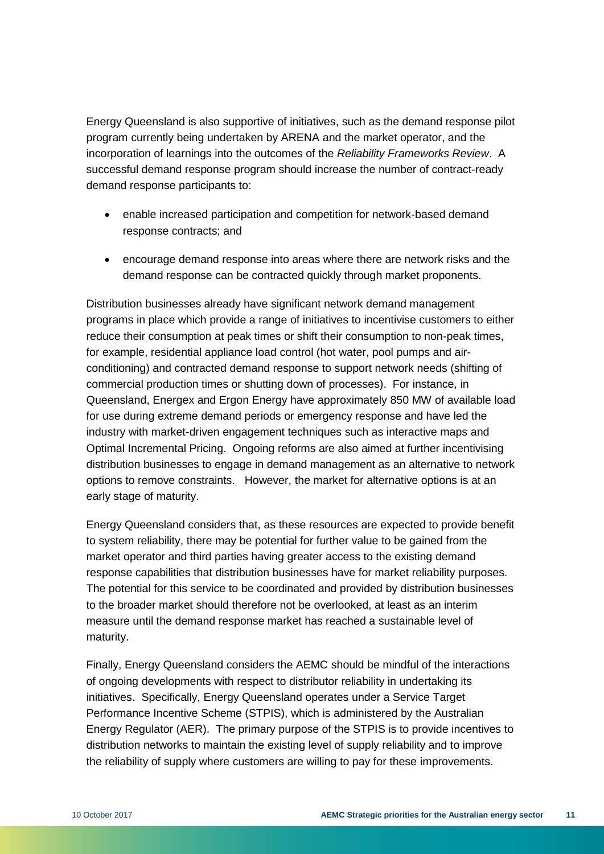Energy Queensland is also supportive of initiatives, such as the demand response pilot program currently being undertaken by ARENA and the market operator, and the incorporation of learnings into the outcomes of the *Reliability Frameworks Review*. A successful demand response program should increase the number of contract-ready demand response participants to:

- enable increased participation and competition for network-based demand response contracts; and
- encourage demand response into areas where there are network risks and the demand response can be contracted quickly through market proponents.

Distribution businesses already have significant network demand management programs in place which provide a range of initiatives to incentivise customers to either reduce their consumption at peak times or shift their consumption to non-peak times, for example, residential appliance load control (hot water, pool pumps and airconditioning) and contracted demand response to support network needs (shifting of commercial production times or shutting down of processes). For instance, in Queensland, Energex and Ergon Energy have approximately 850 MW of available load for use during extreme demand periods or emergency response and have led the industry with market-driven engagement techniques such as interactive maps and Optimal Incremental Pricing. Ongoing reforms are also aimed at further incentivising distribution businesses to engage in demand management as an alternative to network options to remove constraints. However, the market for alternative options is at an early stage of maturity.

Energy Queensland considers that, as these resources are expected to provide benefit to system reliability, there may be potential for further value to be gained from the market operator and third parties having greater access to the existing demand response capabilities that distribution businesses have for market reliability purposes. The potential for this service to be coordinated and provided by distribution businesses to the broader market should therefore not be overlooked, at least as an interim measure until the demand response market has reached a sustainable level of maturity.

Finally, Energy Queensland considers the AEMC should be mindful of the interactions of ongoing developments with respect to distributor reliability in undertaking its initiatives. Specifically, Energy Queensland operates under a Service Target Performance Incentive Scheme (STPIS), which is administered by the Australian Energy Regulator (AER). The primary purpose of the STPIS is to provide incentives to distribution networks to maintain the existing level of supply reliability and to improve the reliability of supply where customers are willing to pay for these improvements.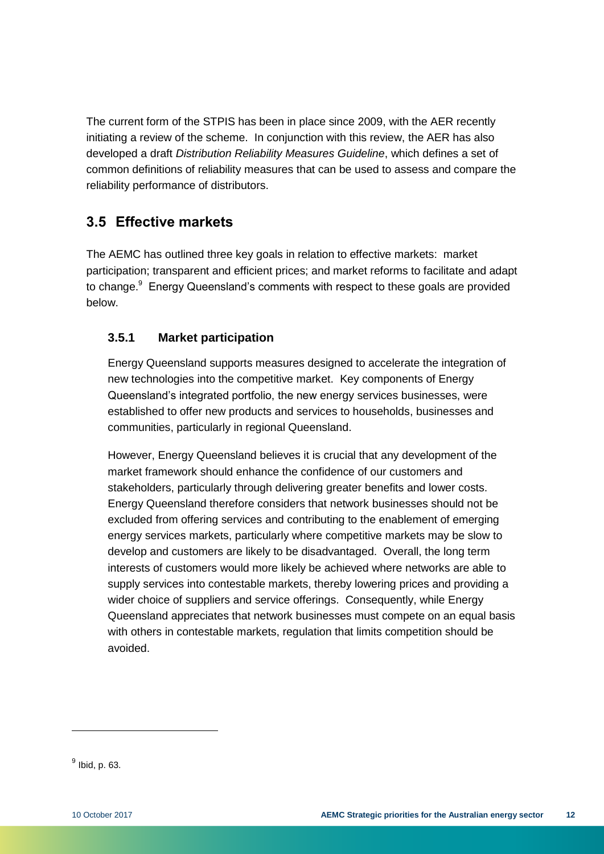The current form of the STPIS has been in place since 2009, with the AER recently initiating a review of the scheme. In conjunction with this review, the AER has also developed a draft *Distribution Reliability Measures Guideline*, which defines a set of common definitions of reliability measures that can be used to assess and compare the reliability performance of distributors.

# <span id="page-15-0"></span>**3.5 Effective markets**

The AEMC has outlined three key goals in relation to effective markets: market participation; transparent and efficient prices; and market reforms to facilitate and adapt to change.<sup>9</sup> Energy Queensland's comments with respect to these goals are provided below.

### <span id="page-15-1"></span>**3.5.1 Market participation**

Energy Queensland supports measures designed to accelerate the integration of new technologies into the competitive market. Key components of Energy Queensland's integrated portfolio, the new energy services businesses, were established to offer new products and services to households, businesses and communities, particularly in regional Queensland.

However, Energy Queensland believes it is crucial that any development of the market framework should enhance the confidence of our customers and stakeholders, particularly through delivering greater benefits and lower costs. Energy Queensland therefore considers that network businesses should not be excluded from offering services and contributing to the enablement of emerging energy services markets, particularly where competitive markets may be slow to develop and customers are likely to be disadvantaged. Overall, the long term interests of customers would more likely be achieved where networks are able to supply services into contestable markets, thereby lowering prices and providing a wider choice of suppliers and service offerings. Consequently, while Energy Queensland appreciates that network businesses must compete on an equal basis with others in contestable markets, regulation that limits competition should be avoided.

<sup>&</sup>lt;sup>9</sup> Ibid, p. 63.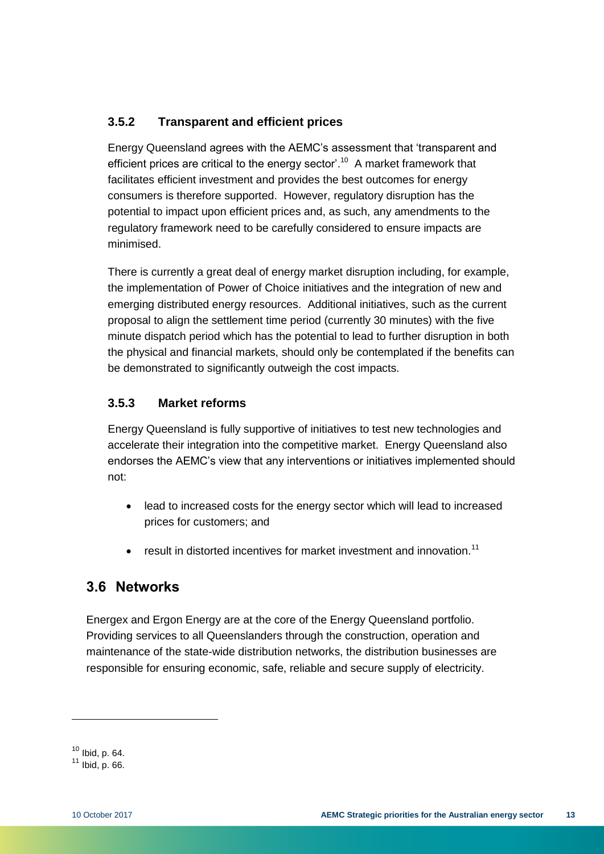## <span id="page-16-0"></span>**3.5.2 Transparent and efficient prices**

Energy Queensland agrees with the AEMC's assessment that 'transparent and efficient prices are critical to the energy sector'.<sup>10</sup> A market framework that facilitates efficient investment and provides the best outcomes for energy consumers is therefore supported. However, regulatory disruption has the potential to impact upon efficient prices and, as such, any amendments to the regulatory framework need to be carefully considered to ensure impacts are minimised.

There is currently a great deal of energy market disruption including, for example, the implementation of Power of Choice initiatives and the integration of new and emerging distributed energy resources. Additional initiatives, such as the current proposal to align the settlement time period (currently 30 minutes) with the five minute dispatch period which has the potential to lead to further disruption in both the physical and financial markets, should only be contemplated if the benefits can be demonstrated to significantly outweigh the cost impacts.

### <span id="page-16-1"></span>**3.5.3 Market reforms**

Energy Queensland is fully supportive of initiatives to test new technologies and accelerate their integration into the competitive market. Energy Queensland also endorses the AEMC's view that any interventions or initiatives implemented should not:

- lead to increased costs for the energy sector which will lead to increased prices for customers; and
- result in distorted incentives for market investment and innovation.<sup>11</sup>

# <span id="page-16-2"></span>**3.6 Networks**

Energex and Ergon Energy are at the core of the Energy Queensland portfolio. Providing services to all Queenslanders through the construction, operation and maintenance of the state-wide distribution networks, the distribution businesses are responsible for ensuring economic, safe, reliable and secure supply of electricity.

 $10$  Ibid, p. 64.

 $11$  lbid, p. 66.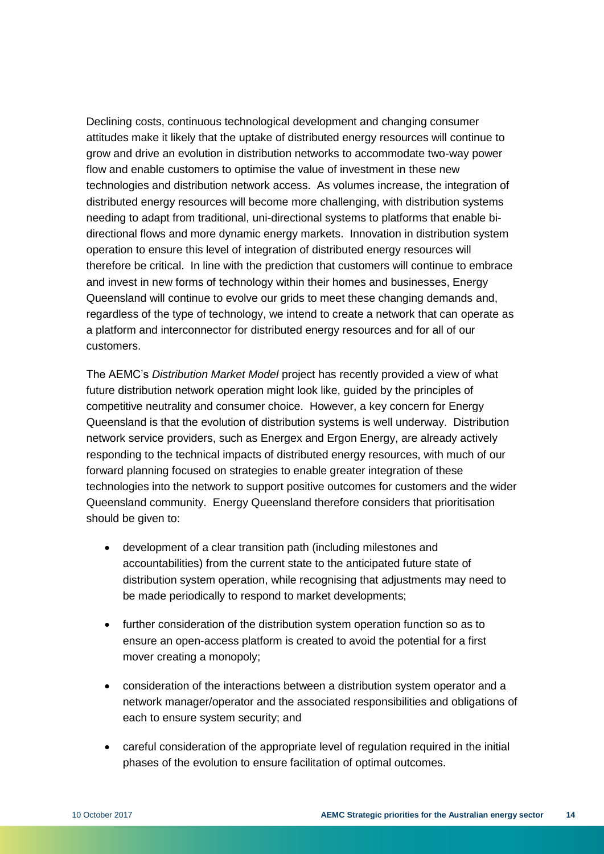Declining costs, continuous technological development and changing consumer attitudes make it likely that the uptake of distributed energy resources will continue to grow and drive an evolution in distribution networks to accommodate two-way power flow and enable customers to optimise the value of investment in these new technologies and distribution network access. As volumes increase, the integration of distributed energy resources will become more challenging, with distribution systems needing to adapt from traditional, uni-directional systems to platforms that enable bidirectional flows and more dynamic energy markets. Innovation in distribution system operation to ensure this level of integration of distributed energy resources will therefore be critical. In line with the prediction that customers will continue to embrace and invest in new forms of technology within their homes and businesses, Energy Queensland will continue to evolve our grids to meet these changing demands and, regardless of the type of technology, we intend to create a network that can operate as a platform and interconnector for distributed energy resources and for all of our customers.

The AEMC's *Distribution Market Model* project has recently provided a view of what future distribution network operation might look like, guided by the principles of competitive neutrality and consumer choice. However, a key concern for Energy Queensland is that the evolution of distribution systems is well underway. Distribution network service providers, such as Energex and Ergon Energy, are already actively responding to the technical impacts of distributed energy resources, with much of our forward planning focused on strategies to enable greater integration of these technologies into the network to support positive outcomes for customers and the wider Queensland community. Energy Queensland therefore considers that prioritisation should be given to:

- development of a clear transition path (including milestones and accountabilities) from the current state to the anticipated future state of distribution system operation, while recognising that adjustments may need to be made periodically to respond to market developments;
- further consideration of the distribution system operation function so as to ensure an open-access platform is created to avoid the potential for a first mover creating a monopoly;
- consideration of the interactions between a distribution system operator and a network manager/operator and the associated responsibilities and obligations of each to ensure system security; and
- careful consideration of the appropriate level of regulation required in the initial phases of the evolution to ensure facilitation of optimal outcomes.